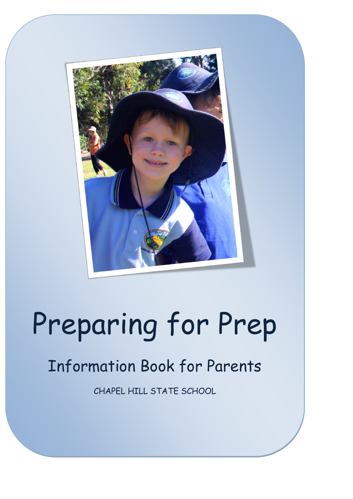

# Preparing for Prep

# Information Book for Parents

CHAPEL HILL STATE SCHOOL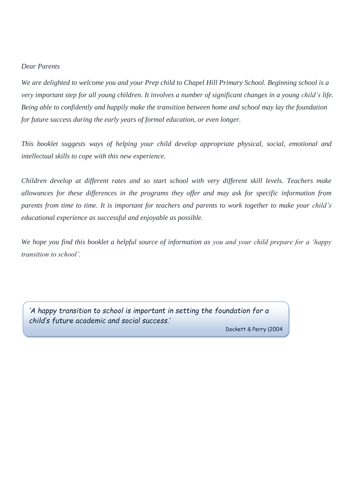#### *Dear Parents*

*We are delighted to welcome you and your Prep child to Chapel Hill Primary School. Beginning school is a very important step for all young children. It involves a number of significant changes in a young child's life. Being able to confidently and happily make the transition between home and school may lay the foundation for future success during the early years of formal education, or even longer.*

*This booklet suggests ways of helping your child develop appropriate physical, social, emotional and intellectual skills to cope with this new experience.* 

*Children develop at different rates and so start school with very different skill levels. Teachers make allowances for these differences in the programs they offer and may ask for specific information from parents from time to time. It is important for teachers and parents to work together to make your child's educational experience as successful and enjoyable as possible.*

*We hope you find this booklet a helpful source of information as you and your child prepare for a 'happy transition to school'.*

*'A happy transition to school is important in setting the foundation for a child's future academic and social success.'*

Dockett & Perry (2004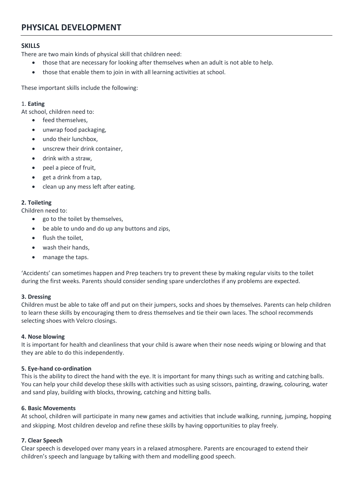# **PHYSICAL DEVELOPMENT**

#### **SKILLS**

There are two main kinds of physical skill that children need:

- those that are necessary for looking after themselves when an adult is not able to help.
- those that enable them to join in with all learning activities at school.

These important skills include the following:

#### 1. **Eating**

At school, children need to:

- feed themselves,
- unwrap food packaging,
- undo their lunchbox,
- unscrew their drink container,
- drink with a straw,
- peel a piece of fruit.
- get a drink from a tap,
- clean up any mess left after eating.

#### **2. Toileting**

Children need to:

- go to the toilet by themselves,
- be able to undo and do up any buttons and zips,
- flush the toilet,
- wash their hands,
- manage the taps.

'Accidents' can sometimes happen and Prep teachers try to prevent these by making regular visits to the toilet during the first weeks. Parents should consider sending spare underclothes if any problems are expected.

#### **3. Dressing**

Children must be able to take off and put on their jumpers, socks and shoes by themselves. Parents can help children to learn these skills by encouraging them to dress themselves and tie their own laces. The school recommends selecting shoes with Velcro closings.

#### **4. Nose blowing**

It is important for health and cleanliness that your child is aware when their nose needs wiping or blowing and that they are able to do this independently.

#### **5. Eye-hand co-ordination**

This is the ability to direct the hand with the eye. It is important for many things such as writing and catching balls. You can help your child develop these skills with activities such as using scissors, painting, drawing, colouring, water and sand play, building with blocks, throwing, catching and hitting balls.

#### **6. Basic Movements**

At school, children will participate in many new games and activities that include walking, running, jumping, hopping and skipping. Most children develop and refine these skills by having opportunities to play freely.

#### **7. Clear Speech**

Clear speech is developed over many years in a relaxed atmosphere. Parents are encouraged to extend their children's speech and language by talking with them and modelling good speech.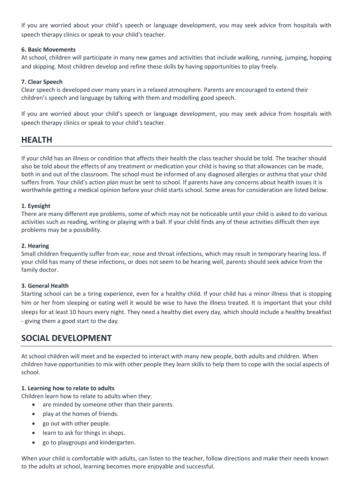If you are worried about your child's speech or language development, you may seek advice from hospitals with speech therapy clinics or speak to your child's teacher.

#### **6. Basic Movements**

At school, children will participate in many new games and activities that include walking, running, jumping, hopping and skipping. Most children develop and refine these skills by having opportunities to play freely.

#### **7. Clear Speech**

Clear speech is developed over many years in a relaxed atmosphere. Parents are encouraged to extend their children's speech and language by talking with them and modelling good speech.

If you are worried about your child's speech or language development, you may seek advice from hospitals with speech therapy clinics or speak to your child's teacher.

## **HEALTH**

If your child has an illness or condition that affects their health the class teacher should be told. The teacher should also be told about the effects of any treatment or medication your child is having so that allowances can be made, both in and out of the classroom. The school must be informed of any diagnosed allergies or asthma that your child suffers from. Your child's action plan must be sent to school. If parents have any concerns about health issues it is worthwhile getting a medical opinion before your child starts school. Some areas for consideration are listed below.

#### **1. Eyesight**

There are many different eye problems, some of which may not be noticeable until your child is asked to do various activities such as reading, writing or playing with a ball. If your child finds any of these activities difficult then eye problems may be a possibility.

#### **2. Hearing**

Small children frequently suffer from ear, nose and throat infections, which may result in temporary hearing loss. If your child has many of these infections, or does not seem to be hearing well, parents should seek advice from the family doctor.

#### **3. General Health**

Starting school can be a tiring experience, even for a healthy child. If your child has a minor illness that is stopping him or her from sleeping or eating well it would be wise to have the illness treated. It is important that your child sleeps for at least 10 hours every night. They need a healthy diet every day, which should include a healthy breakfast - giving them a good start to the day.

### **SOCIAL DEVELOPMENT**

At school children will meet and be expected to interact with many new people, both adults and children. When children have opportunities to mix with other people they learn skills to help them to cope with the social aspects of school.

#### **1. Learning how to relate to adults**

Children learn how to relate to adults when they:

- are minded by someone other than their parents.
- play at the homes of friends.
- go out with other people.
- learn to ask for things in shops.
- go to playgroups and kindergarten.

When your child is comfortable with adults, can listen to the teacher, follow directions and make their needs known to the adults at school, learning becomes more enjoyable and successful.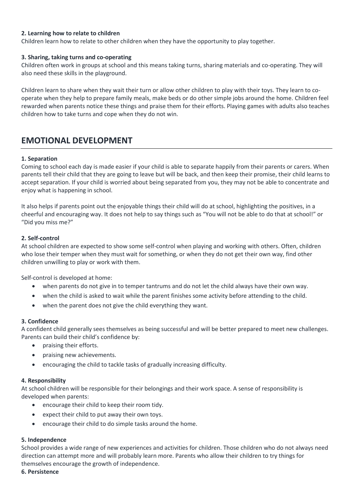#### **2. Learning how to relate to children**

Children learn how to relate to other children when they have the opportunity to play together.

#### **3. Sharing, taking turns and co-operating**

Children often work in groups at school and this means taking turns, sharing materials and co-operating. They will also need these skills in the playground.

Children learn to share when they wait their turn or allow other children to play with their toys. They learn to cooperate when they help to prepare family meals, make beds or do other simple jobs around the home. Children feel rewarded when parents notice these things and praise them for their efforts. Playing games with adults also teaches children how to take turns and cope when they do not win.

# **EMOTIONAL DEVELOPMENT**

#### **1. Separation**

Coming to school each day is made easier if your child is able to separate happily from their parents or carers. When parents tell their child that they are going to leave but will be back, and then keep their promise, their child learns to accept separation. If your child is worried about being separated from you, they may not be able to concentrate and enjoy what is happening in school.

It also helps if parents point out the enjoyable things their child will do at school, highlighting the positives, in a cheerful and encouraging way. It does not help to say things such as "You will not be able to do that at school!" or "Did you miss me?"

#### **2. Self-control**

At school children are expected to show some self-control when playing and working with others. Often, children who lose their temper when they must wait for something, or when they do not get their own way, find other children unwilling to play or work with them.

Self-control is developed at home:

- when parents do not give in to temper tantrums and do not let the child always have their own way.
- when the child is asked to wait while the parent finishes some activity before attending to the child.
- when the parent does not give the child everything they want.

#### **3. Confidence**

A confident child generally sees themselves as being successful and will be better prepared to meet new challenges. Parents can build their child's confidence by:

- praising their efforts.
- praising new achievements.
- encouraging the child to tackle tasks of gradually increasing difficulty.

#### **4. Responsibility**

At school children will be responsible for their belongings and their work space. A sense of responsibility is developed when parents:

- encourage their child to keep their room tidy.
- expect their child to put away their own toys.
- encourage their child to do simple tasks around the home.

#### **5. Independence**

School provides a wide range of new experiences and activities for children. Those children who do not always need direction can attempt more and will probably learn more. Parents who allow their children to try things for themselves encourage the growth of independence.

#### **6. Persistence**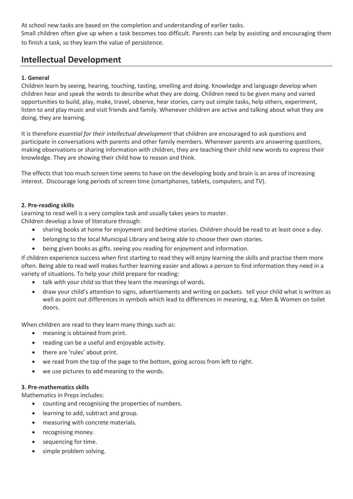At school new tasks are based on the completion and understanding of earlier tasks. Small children often give up when a task becomes too difficult. Parents can help by assisting and encouraging them to finish a task, so they learn the value of persistence.

# **Intellectual Development**

#### **1. General**

Children learn by seeing, hearing, touching, tasting, smelling and doing. Knowledge and language develop when children hear and speak the words to describe what they are doing. Children need to be given many and varied opportunities to build, play, make, travel, observe, hear stories, carry out simple tasks, help others, experiment, listen to and play music and visit friends and family. Whenever children are active and talking about what they are doing, they are learning.

It is therefore *essential for their intellectual development* that children are encouraged to ask questions and participate in conversations with parents and other family members. Whenever parents are answering questions, making observations or sharing information with children, they are teaching their child new words to express their knowledge. They are showing their child how to reason and think.

The effects that too much screen time seems to have on the developing body and brain is an area of increasing interest. Discourage long periods of screen time (smartphones, tablets, computers, and TV).

#### **2. Pre-reading skills**

Learning to read well is a very complex task and usually takes years to master. Children develop a love of literature through:

- sharing books at home for enjoyment and bedtime stories. Children should be read to at least once a day.
- belonging to the local Municipal Library and being able to choose their own stories.
- being given books as gifts. seeing you reading for enjoyment and information.

If children experience success when first starting to read they will enjoy learning the skills and practise them more often. Being able to read well makes further learning easier and allows a person to find information they need in a variety of situations. To help your child prepare for reading:

- talk with your child so that they learn the meanings of words.
- draw your child's attention to signs, advertisements and writing on packets. tell your child what is written as well as point out differences in symbols which lead to differences in meaning, e.g. Men & Women on toilet doors.

When children are read to they learn many things such as:

- meaning is obtained from print.
- reading can be a useful and enjoyable activity.
- there are 'rules' about print.
- we read from the top of the page to the bottom, going across from left to right.
- we use pictures to add meaning to the words.

#### **3. Pre-mathematics skills**

Mathematics in Preps includes:

- counting and recognising the properties of numbers.
- learning to add, subtract and group.
- measuring with concrete materials.
- recognising money.
- sequencing for time.
- simple problem solving.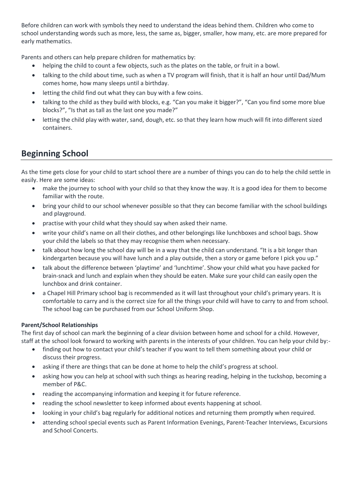Before children can work with symbols they need to understand the ideas behind them. Children who come to school understanding words such as more, less, the same as, bigger, smaller, how many, etc. are more prepared for early mathematics.

Parents and others can help prepare children for mathematics by:

- helping the child to count a few objects, such as the plates on the table, or fruit in a bowl.
- talking to the child about time, such as when a TV program will finish, that it is half an hour until Dad/Mum comes home, how many sleeps until a birthday.
- letting the child find out what they can buy with a few coins.
- talking to the child as they build with blocks, e.g. "Can you make it bigger?", "Can you find some more blue blocks?", "Is that as tall as the last one you made?"
- letting the child play with water, sand, dough, etc. so that they learn how much will fit into different sized containers.

# **Beginning School**

As the time gets close for your child to start school there are a number of things you can do to help the child settle in easily. Here are some ideas:

- make the journey to school with your child so that they know the way. It is a good idea for them to become familiar with the route.
- bring your child to our school whenever possible so that they can become familiar with the school buildings and playground.
- practise with your child what they should say when asked their name.
- write your child's name on all their clothes, and other belongings like lunchboxes and school bags. Show your child the labels so that they may recognise them when necessary.
- talk about how long the school day will be in a way that the child can understand. "It is a bit longer than kindergarten because you will have lunch and a play outside, then a story or game before I pick you up."
- talk about the difference between 'playtime' and 'lunchtime'. Show your child what you have packed for brain-snack and lunch and explain when they should be eaten. Make sure your child can easily open the lunchbox and drink container.
- a Chapel Hill Primary school bag is recommended as it will last throughout your child's primary years. It is comfortable to carry and is the correct size for all the things your child will have to carry to and from school. The school bag can be purchased from our School Uniform Shop.

#### **Parent/School Relationships**

The first day of school can mark the beginning of a clear division between home and school for a child. However, staff at the school look forward to working with parents in the interests of your children. You can help your child by:-

- finding out how to contact your child's teacher if you want to tell them something about your child or discuss their progress.
- asking if there are things that can be done at home to help the child's progress at school.
- asking how you can help at school with such things as hearing reading, helping in the tuckshop, becoming a member of P&C.
- reading the accompanying information and keeping it for future reference.
- reading the school newsletter to keep informed about events happening at school.
- looking in your child's bag regularly for additional notices and returning them promptly when required.
- attending school special events such as Parent Information Evenings, Parent-Teacher Interviews, Excursions and School Concerts.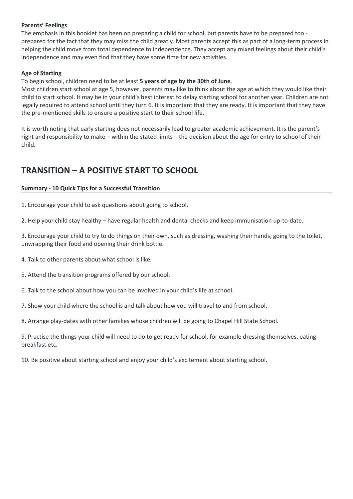#### **Parents' Feelings**

The emphasis in this booklet has been on preparing a child for school, but parents have to be prepared too prepared for the fact that they may miss the child greatly. Most parents accept this as part of a long-term process in helping the child move from total dependence to independence. They accept any mixed feelings about their child's independence and may even find that they have some time for new activities.

#### **Age of Starting**

To begin school, children need to be at least **5 years of age by the 30th of June**.

Most children start school at age 5, however, parents may like to think about the age at which they would like their child to start school. It may be in your child's best interest to delay starting school for another year. Children are not legally required to attend school until they turn 6. It is important that they are ready. It is important that they have the pre-mentioned skills to ensure a positive start to their school life.

It is worth noting that early starting does not necessarily lead to greater academic achievement. It is the parent's right and responsibility to make – within the stated limits – the decision about the age for entry to school of their child.

# **TRANSITION – A POSITIVE START TO SCHOOL**

#### **Summary - 10 Quick Tips for a Successful Transition**

1. Encourage your child to ask questions about going to school.

2. Help your child stay healthy – have regular health and dental checks and keep immunisation up-to-date.

3. Encourage your child to try to do things on their own, such as dressing, washing their hands, going to the toilet, unwrapping their food and opening their drink bottle.

4. Talk to other parents about what school is like.

5. Attend the transition programs offered by our school.

6. Talk to the school about how you can be involved in your child's life at school.

7. Show your child where the school is and talk about how you will travel to and from school.

8. Arrange play-dates with other families whose children will be going to Chapel Hill State School.

9. Practise the things your child will need to do to get ready for school, for example dressing themselves, eating breakfast etc.

10. Be positive about starting school and enjoy your child's excitement about starting school.